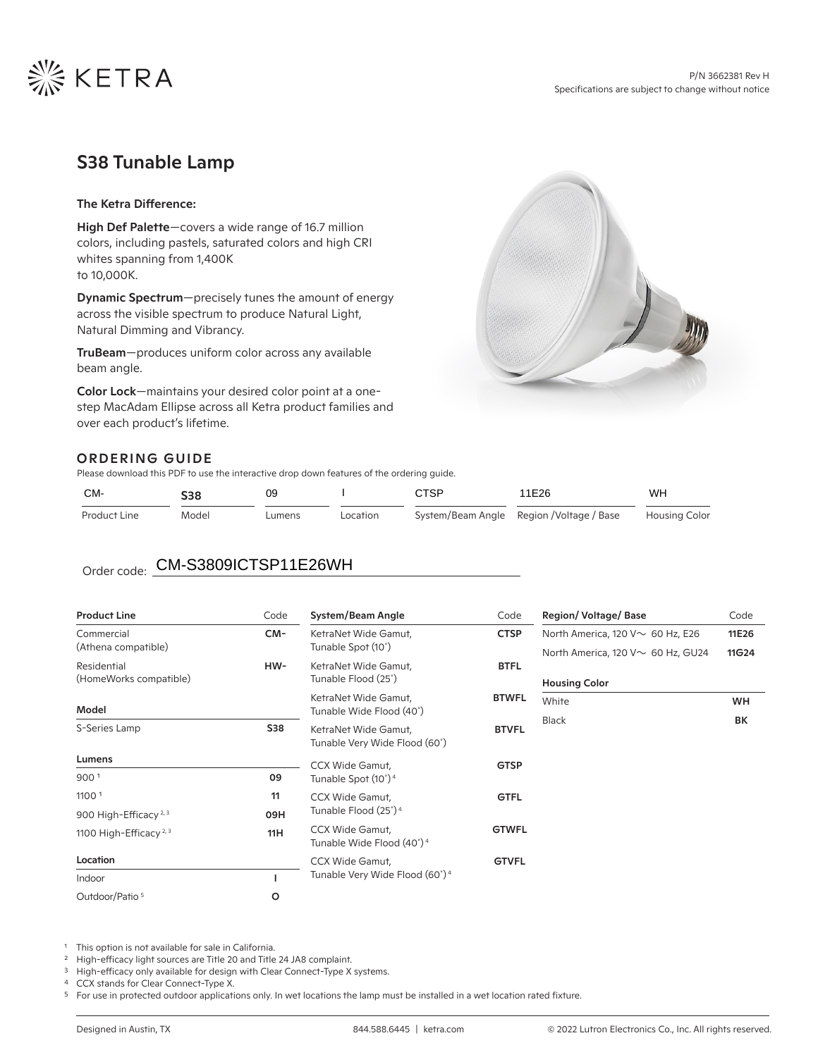

# S38 Tunable Lamp

### The Ketra Difference:

High Def Palette-covers a wide range of 16.7 million colors, including pastels, saturated colors and high CRI whites spanning from 1,400K to 10,000K.

Dynamic Spectrum—precisely tunes the amount of energy across the visible spectrum to produce Natural Light, Natural Dimming and Vibrancy.

TruBeam—produces uniform color across any available beam angle.

Color Lock—maintains your desired color point at a onestep MacAdam Ellipse across all Ketra product families and over each product's lifetime.

# ORDERING GUIDE

Please download this PDF to use the interactive drop down features of the ordering guide.

| CM-                              | <b>S38</b> | 09     |          | <b>CTSP</b> | 11E26                                     | WH                   |
|----------------------------------|------------|--------|----------|-------------|-------------------------------------------|----------------------|
| Product Line                     | Model      | Lumens | Location |             | System/Beam Angle Region / Voltage / Base | <b>Housing Color</b> |
|                                  |            |        |          |             |                                           |                      |
| Order code: CM-S3809ICTSP11E26WH |            |        |          |             |                                           |                      |

| <b>Product Line</b>                | Code                | System/Beam Angle                                               | Code         | <b>Region/Voltage/Base</b>              | Code  |
|------------------------------------|---------------------|-----------------------------------------------------------------|--------------|-----------------------------------------|-------|
| Commercial                         | CM-                 | KetraNet Wide Gamut,                                            | <b>CTSP</b>  | North America, 120 V $\sim$ 60 Hz, E26  | 11E26 |
| (Athena compatible)                |                     | Tunable Spot (10°)                                              |              | North America, 120 V $\sim$ 60 Hz, GU24 | 11G24 |
| Residential                        | HW-                 | KetraNet Wide Gamut,                                            | <b>BTFL</b>  |                                         |       |
| (HomeWorks compatible)             | Tunable Flood (25°) |                                                                 |              | <b>Housing Color</b>                    |       |
|                                    |                     | KetraNet Wide Gamut,                                            | <b>BTWFL</b> | White                                   | WH    |
| Model                              |                     | Tunable Wide Flood (40°)                                        |              | <b>Black</b>                            | BК    |
| S-Series Lamp                      | <b>S38</b>          | KetraNet Wide Gamut,                                            | <b>BTVFL</b> |                                         |       |
|                                    |                     | Tunable Very Wide Flood (60°)                                   |              |                                         |       |
| Lumens                             |                     | <b>CCX Wide Gamut,</b>                                          | <b>GTSP</b>  |                                         |       |
| 900 <sup>1</sup>                   | 09                  | Tunable Spot (10°) <sup>4</sup>                                 |              |                                         |       |
| 11001                              | 11                  | CCX Wide Gamut,                                                 | <b>GTFL</b>  |                                         |       |
| 900 High-Efficacy <sup>2, 3</sup>  | 09H                 | Tunable Flood (25°) <sup>4</sup>                                |              |                                         |       |
| 1100 High-Efficacy <sup>2, 3</sup> | 11H                 | <b>CCX Wide Gamut,</b><br>Tunable Wide Flood (40°) <sup>4</sup> | <b>GTWFL</b> |                                         |       |
| Location                           |                     | <b>CCX Wide Gamut,</b>                                          | <b>GTVFL</b> |                                         |       |
| Indoor                             |                     | Tunable Very Wide Flood (60°) <sup>4</sup>                      |              |                                         |       |
| Outdoor/Patio <sup>5</sup>         | o                   |                                                                 |              |                                         |       |

This option is not available for sale in California.

High-efficacy light sources are Title 20 and Title 24 JA8 complaint.

<sup>3</sup> High-efficacy only available for design with Clear Connect-Type X systems.

<sup>4</sup> CCX stands for Clear Connect-Type X.

<sup>5</sup> For use in protected outdoor applications only. In wet locations the lamp must be installed in a wet location rated fixture.

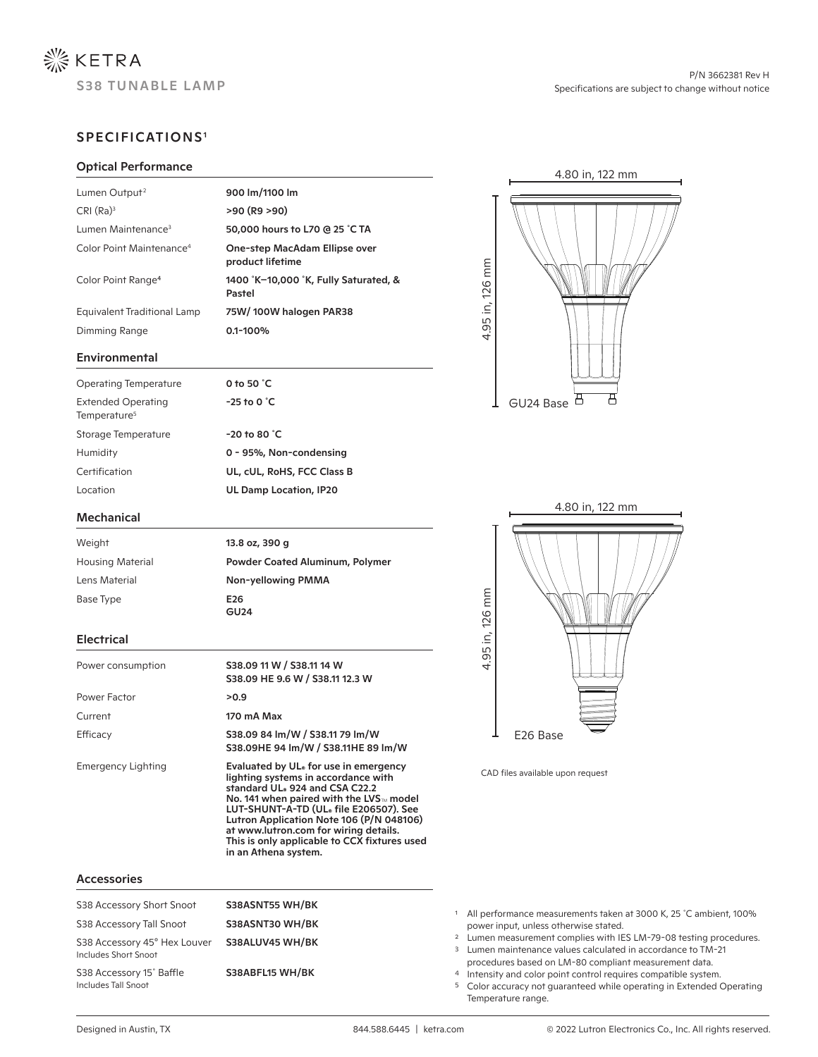

# SPECIFICATIONS1

### Optical Performance

| Lumen Output <sup>2</sup>            | 900 lm/1100 lm                                    |
|--------------------------------------|---------------------------------------------------|
| CRI (Ra) <sup>3</sup>                | >90 (R9 >90)                                      |
| Lumen Maintenance <sup>3</sup>       | 50,000 hours to L70 @ 25 °C TA                    |
| Color Point Maintenance <sup>4</sup> | One-step MacAdam Ellipse over<br>product lifetime |
| Color Point Range <sup>4</sup>       | 1400 K-10,000 K, Fully Saturated, &<br>Pastel     |
| Equivalent Traditional Lamp          | 75W/100W halogen PAR38                            |
| Dimming Range                        | $0.1 - 100%$                                      |
|                                      |                                                   |

#### Environmental

| 0 to 50 $^{\circ}$ C<br>$-25$ to 0 $^{\circ}$ C |
|-------------------------------------------------|
|                                                 |
| $-20$ to 80 $^{\circ}$ C                        |
| 0 - 95%, Non-condensing                         |
| UL, cUL, RoHS, FCC Class B                      |
| <b>UL Damp Location, IP20</b>                   |
|                                                 |

#### Mechanical

| Weight                  | 13.8 oz, 390 g                         |
|-------------------------|----------------------------------------|
| <b>Housing Material</b> | <b>Powder Coated Aluminum, Polymer</b> |
| Lens Material           | Non-yellowing PMMA                     |
| Base Type               | E <sub>26</sub>                        |
|                         | GU24                                   |

## Electrical

| Power consumption  | \$38.09 11 W / \$38.11 14 W<br>S38.09 HE 9.6 W / S38.11 12.3 W                                                                                                                                                                                                                                                                                                                           |
|--------------------|------------------------------------------------------------------------------------------------------------------------------------------------------------------------------------------------------------------------------------------------------------------------------------------------------------------------------------------------------------------------------------------|
| Power Factor       | >0.9                                                                                                                                                                                                                                                                                                                                                                                     |
| Current            | 170 mA Max                                                                                                                                                                                                                                                                                                                                                                               |
| Efficacy           | \$38.09 84 lm/W / \$38.11 79 lm/W<br>\$38.09HE 94 Im/W / \$38.11HE 89 Im/W                                                                                                                                                                                                                                                                                                               |
| Emergency Lighting | Evaluated by UL <sub>®</sub> for use in emergency<br>lighting systems in accordance with<br>standard UL® 924 and CSA C22.2<br>No. 141 when paired with the LVS <sub>™</sub> model<br>LUT-SHUNT-A-TD (UL® file E206507). See<br>Lutron Application Note 106 (P/N 048106)<br>at www.lutron.com for wiring details.<br>This is only applicable to CCX fixtures used<br>in an Athena system. |

#### Accessories

| S38ASNT55 WH/BK<br>S38 Accessory Short Snoot<br>S38ASNT30 WH/BK<br>S38 Accessory Tall Snoot |                 | All performance measurements taken at 3000 K, 25 °C ambient, 100%<br>power input, unless otherwise stated.                                                                                                        |  |
|---------------------------------------------------------------------------------------------|-----------------|-------------------------------------------------------------------------------------------------------------------------------------------------------------------------------------------------------------------|--|
| S38 Accessory 45° Hex Louver<br>Includes Short Snoot                                        | S38ALUV45 WH/BK | <sup>2</sup> Lumen measurement complies with IES LM-79-08 testing procedures.<br><sup>3</sup> Lumen maintenance values calculated in accordance to TM-21<br>procedures based on LM-80 compliant measurement data. |  |
| S38 Accessory 15° Baffle<br><b>Includes Tall Snoot</b>                                      | S38ABFL15 WH/BK | 4 Intensity and color point control requires compatible system.<br><sup>5</sup> Color accuracy not quaranteed while operating in Extended Operating<br>Temperature range.                                         |  |





CAD files available upon request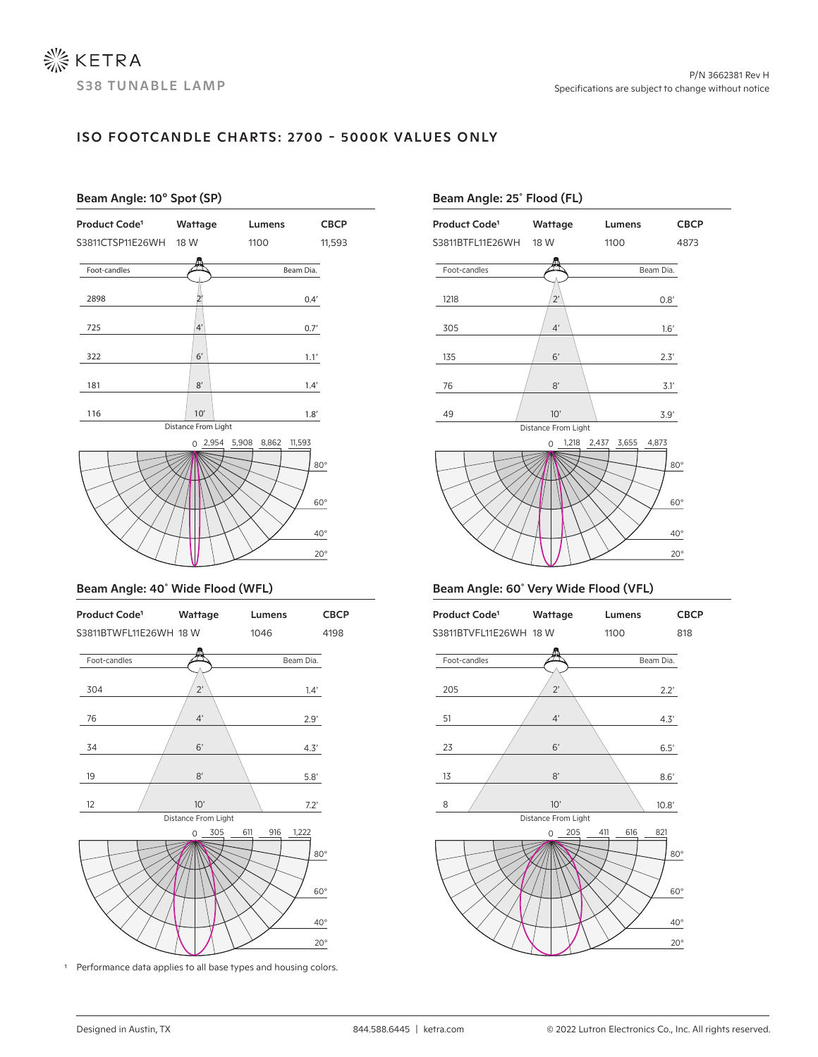# ISO FOOTCANDLE CHARTS: 2700 - 5000K VALUES ONLY

# 20° 0 2,954 5,908 8,862 11,593 40° 60° 80° Beam Angle: 10° Spot (SP) Product Code1 Wattage Lumens CBCP S3811CTSP11E26WH 18 W 1100 11,593 Foot-candles **Beam Dia.** Beam Dia. 116 1.8' 181 1.4'  $322$  1.1' 725  $|4'|\t\t\t\t 0.7'$ 10' 8' 6' 4' 2898 2' 0.4' Distance From Light

#### Beam Angle: 40˚ Wide Flood (WFL)



<sup>1</sup> Performance data applies to all base types and housing colors.

# Beam Angle: 25˚ Flood (FL)





## Beam Angle: 60˚ Very Wide Flood (VFL)